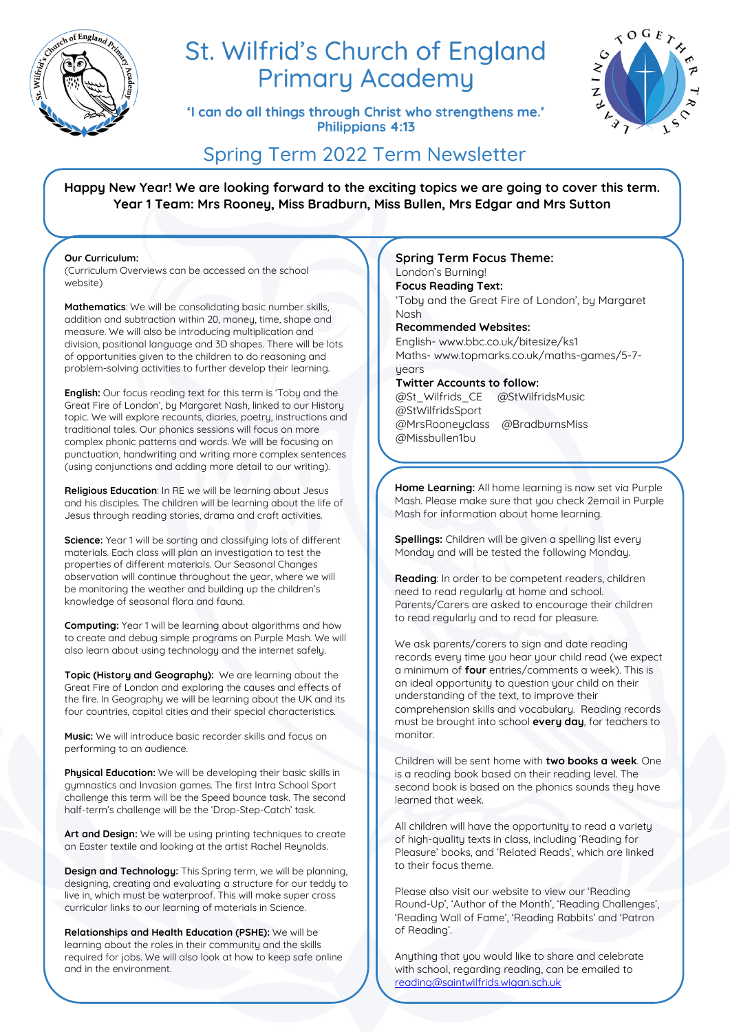

# St. Wilfrid's Church of England **Primary Academy**

'I can do all things through Christ who strengthens me.' Philippians 4:13



# Spring Term 2022 Term Newsletter

**Happy New Year! We are looking forward to the exciting topics we are going to cover this term. Year 1 Team: Mrs Rooney, Miss Bradburn, Miss Bullen, Mrs Edgar and Mrs Sutton**

#### **Our Curriculum:**

(Curriculum Overviews can be accessed on the school website)

**Mathematics**: We will be consolidating basic number skills, addition and subtraction within 20, money, time, shape and measure. We will also be introducing multiplication and division, positional language and 3D shapes. There will be lots of opportunities given to the children to do reasoning and problem-solving activities to further develop their learning.

**English:** Our focus reading text for this term is 'Toby and the Great Fire of London', by Margaret Nash, linked to our History topic. We will explore recounts, diaries, poetry, instructions and traditional tales. Our phonics sessions will focus on more complex phonic patterns and words. We will be focusing on punctuation, handwriting and writing more complex sentences (using conjunctions and adding more detail to our writing).

**Religious Education**: In RE we will be learning about Jesus and his disciples. The children will be learning about the life of Jesus through reading stories, drama and craft activities.

**Science:** Year 1 will be sorting and classifying lots of different materials. Each class will plan an investigation to test the properties of different materials. Our Seasonal Changes observation will continue throughout the year, where we will be monitoring the weather and building up the children's knowledge of seasonal flora and fauna.

**Computing:** Year 1 will be learning about algorithms and how to create and debug simple programs on Purple Mash. We will also learn about using technology and the internet safely.

**Topic (History and Geography):** We are learning about the Great Fire of London and exploring the causes and effects of the fire. In Geography we will be learning about the UK and its four countries, capital cities and their special characteristics.

**Music:** We will introduce basic recorder skills and focus on performing to an audience.

**Physical Education:** We will be developing their basic skills in gymnastics and Invasion games. The first Intra School Sport challenge this term will be the Speed bounce task. The second half-term's challenge will be the 'Drop-Step-Catch' task.

**Art and Design:** We will be using printing techniques to create an Easter textile and looking at the artist Rachel Reynolds.

**Design and Technology:** This Spring term, we will be planning, designing, creating and evaluating a structure for our teddy to live in, which must be waterproof. This will make super cross curricular links to our learning of materials in Science.

**Relationships and Health Education (PSHE):** We will be learning about the roles in their community and the skills required for jobs. We will also look at how to keep safe online and in the environment.

#### **Spring Term Focus Theme:**

London's Burning! **Focus Reading Text:**  'Toby and the Great Fire of London', by Margaret Nash **Recommended Websites:**

English- www.bbc.co.uk/bitesize/ks1 Maths- www.topmarks.co.uk/maths-games/5-7 uears

**Twitter Accounts to follow:** 

@St\_Wilfrids\_CE @StWilfridsMusic @StWilfridsSport @MrsRooneyclass @BradburnsMiss @Missbullen1bu

**Home Learning:** All home learning is now set via Purple Mash. Please make sure that you check 2email in Purple Mash for information about home learning.

**Spellings:** Children will be given a spelling list every Monday and will be tested the following Monday.

**Reading**: In order to be competent readers, children need to read regularly at home and school. Parents/Carers are asked to encourage their children to read regularly and to read for pleasure.

We ask parents/carers to sign and date reading records every time you hear your child read (we expect a minimum of **four** entries/comments a week). This is an ideal opportunity to question your child on their understanding of the text, to improve their comprehension skills and vocabulary. Reading records must be brought into school **every day**, for teachers to monitor.

Children will be sent home with **two books a week**. One is a reading book based on their reading level. The second book is based on the phonics sounds they have learned that week.

All children will have the opportunity to read a variety of high-quality texts in class, including 'Reading for Pleasure' books, and 'Related Reads', which are linked to their focus theme.

Please also visit our website to view our 'Reading Round-Up', 'Author of the Month', 'Reading Challenges', 'Reading Wall of Fame', 'Reading Rabbits' and 'Patron of Reading'.

Anything that you would like to share and celebrate with school, regarding reading, can be emailed to [reading@saintwilfrids.wigan.sch.uk](mailto:reading@saintwilfrids.wigan.sch.uk)